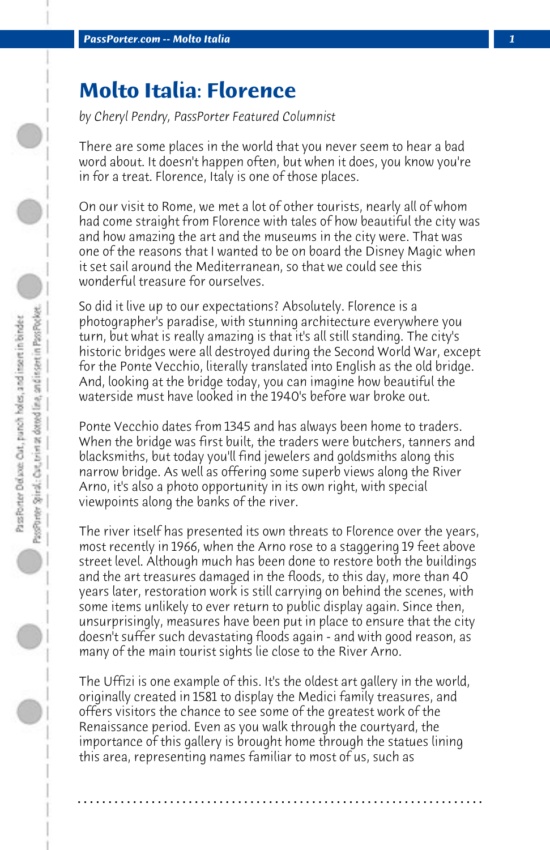## **Molto Italia: Florence**

*by Cheryl Pendry, PassPorter Featured Columnist*

There are some places in the world that you never seem to hear a bad word about. It doesn't happen often, but when it does, you know you're in for a treat. Florence, Italy is one of those places.

On our visit to Rome, we met a lot of other tourists, nearly all of whom had come straight from Florence with tales of how beautiful the city was and how amazing the art and the museums in the city were. That was one of the reasons that I wanted to be on board the Disney Magic when it set sail around the Mediterranean, so that we could see this wonderful treasure for ourselves.

So did it live up to our expectations? Absolutely. Florence is a photographer's paradise, with stunning architecture everywhere you turn, but what is really amazing is that it's all still standing. The city's historic bridges were all destroyed during the Second World War, except for the Ponte Vecchio, literally translated into English as the old bridge. And, looking at the bridge today, you can imagine how beautiful the waterside must have looked in the 1940's before war broke out.

Ponte Vecchio dates from 1345 and has always been home to traders. When the bridge was first built, the traders were butchers, tanners and blacksmiths, but today you'll find jewelers and goldsmiths along this narrow bridge. As well as offering some superb views along the River Arno, it's also a photo opportunity in its own right, with special viewpoints along the banks of the river.

The river itself has presented its own threats to Florence over the years, most recently in 1966, when the Arno rose to a staggering 19 feet above street level. Although much has been done to restore both the buildings and the art treasures damaged in the floods, to this day, more than 40 years later, restoration work is still carrying on behind the scenes, with some items unlikely to ever return to public display again. Since then, unsurprisingly, measures have been put in place to ensure that the city doesn't suffer such devastating floods again - and with good reason, as many of the main tourist sights lie close to the River Arno.

The Uffizi is one example of this. It's the oldest art gallery in the world, originally created in 1581 to display the Medici family treasures, and offers visitors the chance to see some of the greatest work of the Renaissance period. Even as you walk through the courtyard, the importance of this gallery is brought home through the statues lining this area, representing names familiar to most of us, such as

**. . . . . . . . . . . . . . . . . . . . . . . . . . . . . . . . . . . . . . . . . . . . . . . . . . . . . . . . . . . . . . . . . .**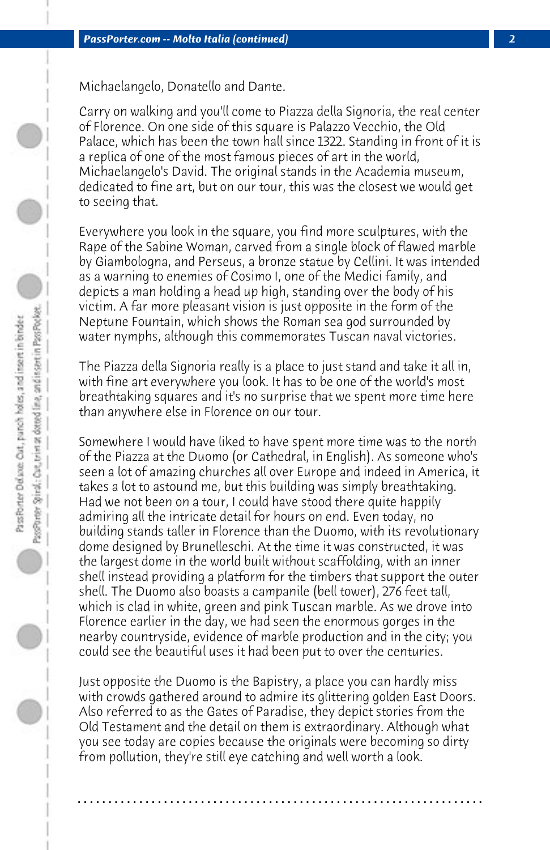Michaelangelo, Donatello and Dante.

Carry on walking and you'll come to Piazza della Signoria, the real center of Florence. On one side of this square is Palazzo Vecchio, the Old Palace, which has been the town hall since 1322. Standing in front of it is a replica of one of the most famous pieces of art in the world, Michaelangelo's David. The original stands in the Academia museum, dedicated to fine art, but on our tour, this was the closest we would get to seeing that.

Everywhere you look in the square, you find more sculptures, with the Rape of the Sabine Woman, carved from a single block of flawed marble by Giambologna, and Perseus, a bronze statue by Cellini. It was intended as a warning to enemies of Cosimo I, one of the Medici family, and depicts a man holding a head up high, standing over the body of his victim. A far more pleasant vision is just opposite in the form of the Neptune Fountain, which shows the Roman sea god surrounded by water nymphs, although this commemorates Tuscan naval victories.

The Piazza della Signoria really is a place to just stand and take it all in, with fine art everywhere you look. It has to be one of the world's most breathtaking squares and it's no surprise that we spent more time here than anywhere else in Florence on our tour.

Somewhere I would have liked to have spent more time was to the north of the Piazza at the Duomo (or Cathedral, in English). As someone who's seen a lot of amazing churches all over Europe and indeed in America, it takes a lot to astound me, but this building was simply breathtaking. Had we not been on a tour, I could have stood there quite happily admiring all the intricate detail for hours on end. Even today, no building stands taller in Florence than the Duomo, with its revolutionary dome designed by Brunelleschi. At the time it was constructed, it was the largest dome in the world built without scaffolding, with an inner shell instead providing a platform for the timbers that support the outer shell. The Duomo also boasts a campanile (bell tower), 276 feet tall, which is clad in white, green and pink Tuscan marble. As we drove into Florence earlier in the day, we had seen the enormous gorges in the nearby countryside, evidence of marble production and in the city; you could see the beautiful uses it had been put to over the centuries.

Just opposite the Duomo is the Bapistry, a place you can hardly miss with crowds gathered around to admire its glittering golden East Doors. Also referred to as the Gates of Paradise, they depict stories from the Old Testament and the detail on them is extraordinary. Although what you see today are copies because the originals were becoming so dirty from pollution, they're still eye catching and well worth a look.

**. . . . . . . . . . . . . . . . . . . . . . . . . . . . . . . . . . . . . . . . . . . . . . . . . . . . . . . . . . . . . . . . . .**